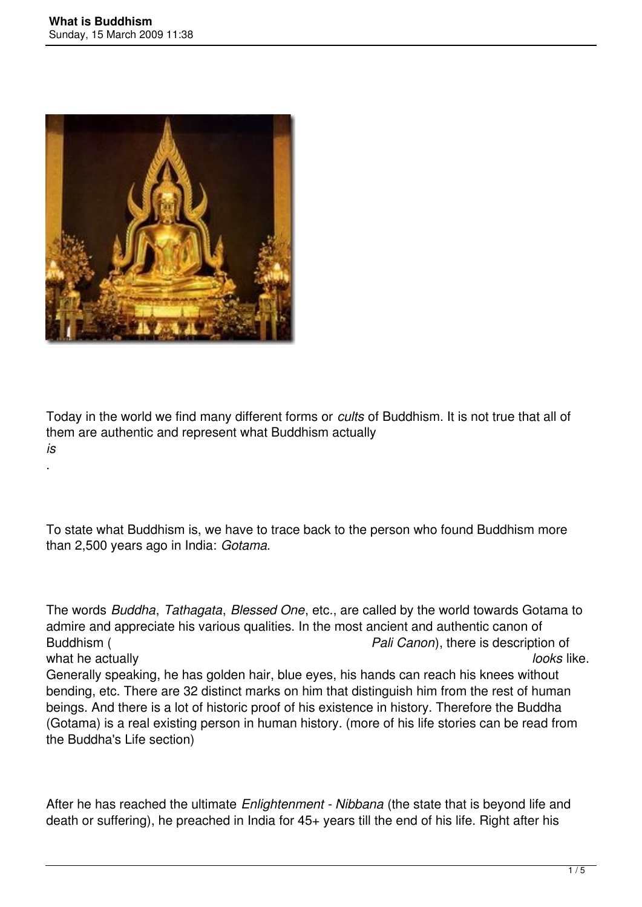.



Today in the world we find many different forms or *cults* of Buddhism. It is not true that all of them are authentic and represent what Buddhism actually *is*

To state what Buddhism is, we have to trace back to the person who found Buddhism more than 2,500 years ago in India: *Gotama.*

The words *Buddha*, *Tathagata*, *Blessed One*, etc., are called by the world towards Gotama to admire and appreciate his various qualities. In the most ancient and authentic canon of Buddhism ( *Pali Canon*), there is description of what he actually **looks** like. Generally speaking, he has golden hair, blue eyes, his hands can reach his knees without bending, etc. There are 32 distinct marks on him that distinguish him from the rest of human beings. And there is a lot of historic proof of his existence in history. Therefore the Buddha (Gotama) is a real existing person in human history. (more of his life stories can be read from the Buddha's Life section)

After he has reached the ultimate *Enlightenment - Nibbana* (the state that is beyond life and death or suffering), he preached in India for 45+ years till the end of his life. Right after his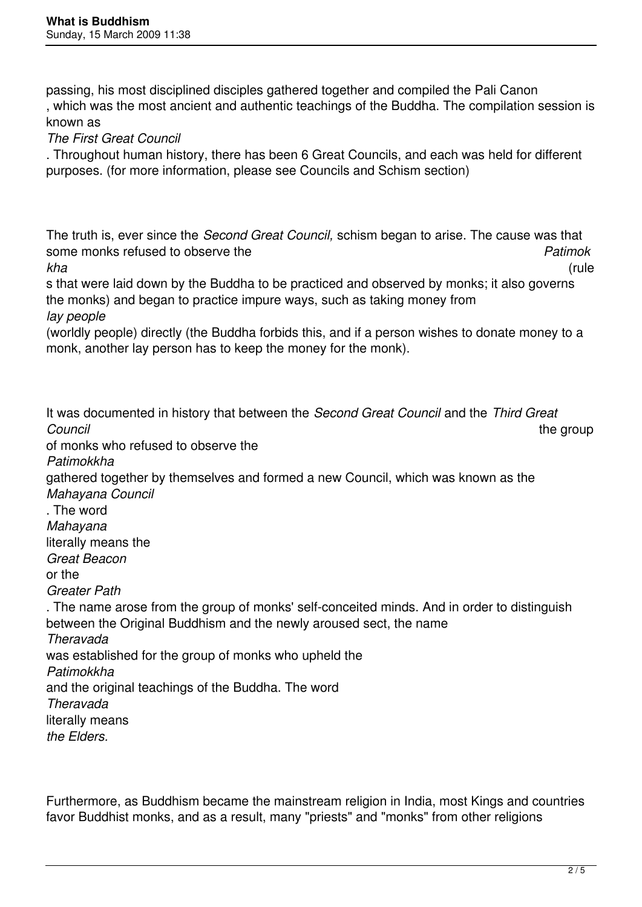passing, his most disciplined disciples gathered together and compiled the Pali Canon , which was the most ancient and authentic teachings of the Buddha. The compilation session is known as

*The First Great Council*

. Throughout human history, there has been 6 Great Councils, and each was held for different purposes. (for more information, please see Councils and Schism section)

The truth is, ever since the *Second Great Council,* schism began to arise. The cause was that some monks refused to observe the *Patimok kha* (rule

s that were laid down by the Buddha to be practiced and observed by monks; it also governs the monks) and began to practice impure ways, such as taking money from *lay people*

(worldly people) directly (the Buddha forbids this, and if a person wishes to donate money to a monk, another lay person has to keep the money for the monk).

It was documented in history that between the *Second Great Council* and the *Third Great Council* the group of monks who refused to observe the *Patimokkha*  gathered together by themselves and formed a new Council, which was known as the *Mahayana Council* . The word *Mahayana*  literally means the *Great Beacon* or the *Greater Path* . The name arose from the group of monks' self-conceited minds. And in order to distinguish between the Original Buddhism and the newly aroused sect, the name *Theravada*  was established for the group of monks who upheld the *Patimokkha*  and the original teachings of the Buddha. The word *Theravada*  literally means *the Elders.*

Furthermore, as Buddhism became the mainstream religion in India, most Kings and countries favor Buddhist monks, and as a result, many "priests" and "monks" from other religions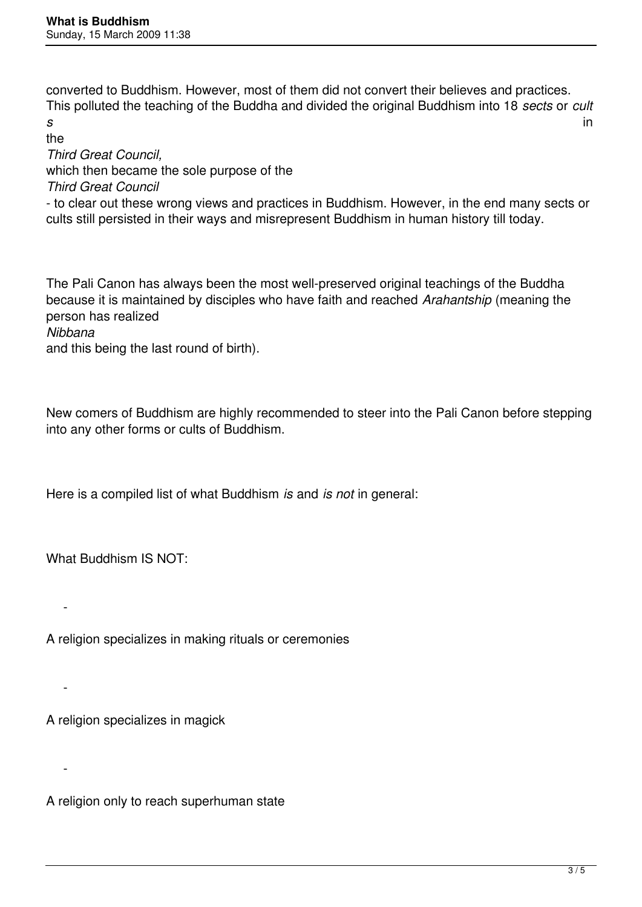converted to Buddhism. However, most of them did not convert their believes and practices. This polluted the teaching of the Buddha and divided the original Buddhism into 18 *sects* or *cult s* in

the

*Third Great Council,*  which then became the sole purpose of the

*Third Great Council*

- to clear out these wrong views and practices in Buddhism. However, in the end many sects or cults still persisted in their ways and misrepresent Buddhism in human history till today.

The Pali Canon has always been the most well-preserved original teachings of the Buddha because it is maintained by disciples who have faith and reached *Arahantship* (meaning the person has realized

*Nibbana* 

-

-

-

and this being the last round of birth).

New comers of Buddhism are highly recommended to steer into the Pali Canon before stepping into any other forms or cults of Buddhism.

Here is a compiled list of what Buddhism *is* and *is not* in general:

What Buddhism IS NOT:

A religion specializes in making rituals or ceremonies

A religion specializes in magick

A religion only to reach superhuman state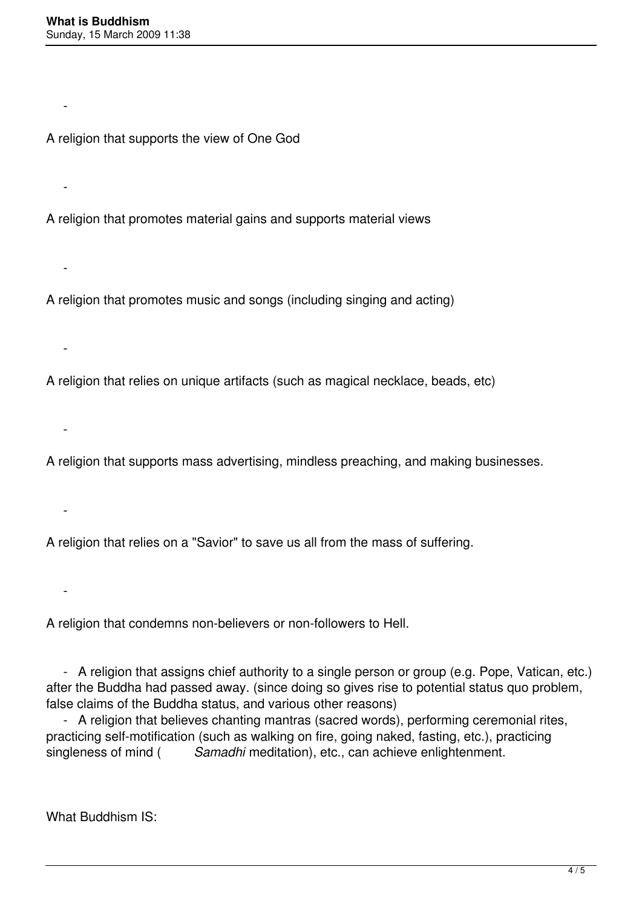$\sim$   $-$ 

-

-

-

-

 $\sim$   $-$ 

 $\sim$   $-$ 

A religion that supports the view of One God

A religion that promotes material gains and supports material views

A religion that promotes music and songs (including singing and acting)

A religion that relies on unique artifacts (such as magical necklace, beads, etc)

A religion that supports mass advertising, mindless preaching, and making businesses.

A religion that relies on a "Savior" to save us all from the mass of suffering.

A religion that condemns non-believers or non-followers to Hell.

 - A religion that assigns chief authority to a single person or group (e.g. Pope, Vatican, etc.) after the Buddha had passed away. (since doing so gives rise to potential status quo problem, false claims of the Buddha status, and various other reasons)

 - A religion that believes chanting mantras (sacred words), performing ceremonial rites, practicing self-motification (such as walking on fire, going naked, fasting, etc.), practicing singleness of mind ( *Samadhi* meditation), etc., can achieve enlightenment.

What Buddhism IS: